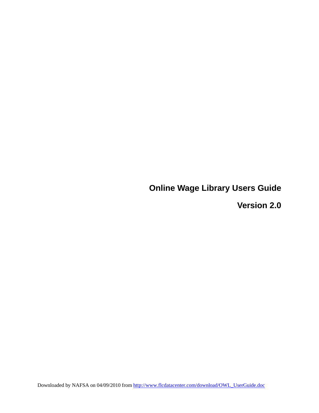**Online Wage Library Users Guide** 

**Version 2.0**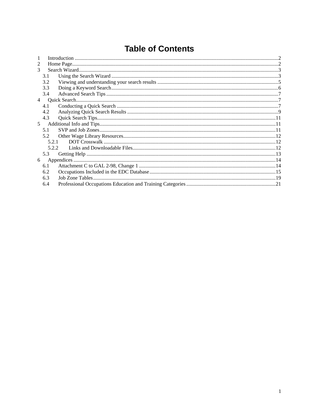# **Table of Contents**

| 3              |       |  |
|----------------|-------|--|
|                | 3.1   |  |
|                | 3.2   |  |
|                | 3.3   |  |
|                | 3.4   |  |
| $\overline{4}$ |       |  |
|                | 4.1   |  |
|                | 4.2   |  |
|                | 4.3   |  |
| 5 <sup>7</sup> |       |  |
|                | 5.1   |  |
|                | 5.2   |  |
|                | 5.2.1 |  |
|                | 5.2.2 |  |
|                | 5.3   |  |
| 6              |       |  |
|                | 6.1   |  |
|                | 6.2   |  |
|                | 6.3   |  |
|                | 6.4   |  |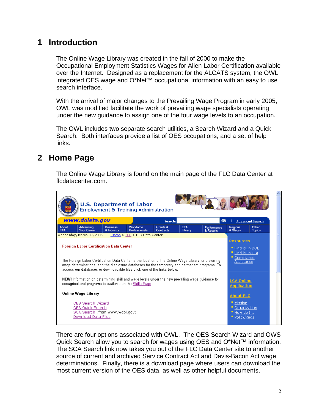## <span id="page-2-0"></span>**1 Introduction**

The Online Wage Library was created in the fall of 2000 to make the Occupational Employment Statistics Wages for Alien Labor Certification available over the Internet. Designed as a replacement for the ALCATS system, the OWL integrated OES wage and O\*Net™ occupational information with an easy to use search interface.

With the arrival of major changes to the Prevailing Wage Program in early 2005, OWL was modified facilitate the work of prevailing wage specialists operating under the new guidance to assign one of the four wage levels to an occupation.

The OWL includes two separate search utilities, a Search Wizard and a Quick Search. Both interfaces provide a list of OES occupations, and a set of help links.

## **2 Home Page**

The Online Wage Library is found on the main page of the FLC Data Center at flcdatacenter.com.



There are four options associated with OWL. The OES Search Wizard and OWS Quick Search allow you to search for wages using OES and O\*Net™ information. The SCA Search link now takes you out of the FLC Data Center site to another source of current and archived Service Contract Act and Davis-Bacon Act wage determinations. Finally, there is a download page where users can download the most current version of the OES data, as well as other helpful documents.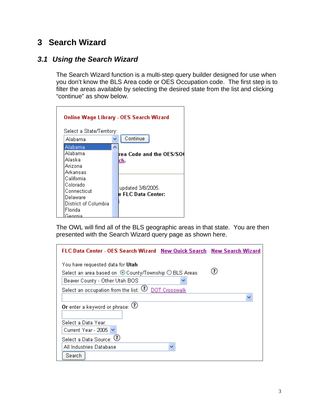## <span id="page-3-0"></span>**3 Search Wizard**

### *3.1 Using the Search Wizard*

The Search Wizard function is a multi-step query builder designed for use when you don't know the BLS Area code or OES Occupation code. The first step is to filter the areas available by selecting the desired state from the list and clicking "continue" as show below.

|                                      | <b>Online Wage Library - OES Search Wizard</b> |
|--------------------------------------|------------------------------------------------|
| Select a State/Territory:<br>Alahama | Continue                                       |
| Alabama                              |                                                |
| Alabama                              | rea Code and the OES/SO                        |
| Alaska                               | ch.                                            |
| Arizona                              |                                                |
| Arkansas                             |                                                |
| California                           |                                                |
| Colorado                             | updated 3/8/2005.                              |
| Connecticut                          | le FLC Data Center:                            |
| Delaware                             |                                                |
| District of Columbia                 |                                                |
| Florida                              |                                                |
| Georgia                              |                                                |

The OWL will find all of the BLS geographic areas in that state. You are then presented with the Search Wizard query page as shown here.

| FLC Data Center - OES Search Wizard New Quick Search New Search Wizard |   |
|------------------------------------------------------------------------|---|
| You have requested data for <b>Utah</b>                                |   |
| Select an area based on ⊙ County/Township ◯ BLS Areas                  |   |
| Beaver County - Other Utah BOS                                         |   |
| Select an occupation from the list: $\mathbb U$ <u>DOT Crosswalk</u>   |   |
|                                                                        | ▿ |
| Or enter a keyword or phrase: $\bigcirc$                               |   |
|                                                                        |   |
| Select a Data Year:                                                    |   |
| Current Year - 2005                                                    |   |
| Select a Data Source: $\bm{\mathbb{U}}$                                |   |
| All Industries Database<br>v                                           |   |
| Search                                                                 |   |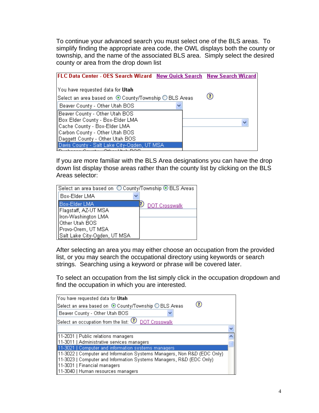To continue your advanced search you must select one of the BLS areas. To simplify finding the appropriate area code, the OWL displays both the county or township, and the name of the associated BLS area. Simply select the desired county or area from the drop down list

| FLC Data Center - OES Search Wizard New Quick Search New Search Wizard |              |
|------------------------------------------------------------------------|--------------|
| You have requested data for Utah                                       |              |
| Select an area based on ⊙ County/Township ○ BLS Areas                  |              |
| Beaver County - Other Utah BOS                                         |              |
| Beaver County - Other Utah BOS                                         |              |
| Box Elder County - Box-Elder LMA                                       | $\checkmark$ |
| Cache County - Box-Elder LMA                                           |              |
| Carbon County - Other Utah BOS                                         |              |
| Daggett County - Other Utah BOS                                        |              |
| Davis County - Salt Lake City-Ogden, UT MSA                            |              |
|                                                                        |              |

If you are more familiar with the BLS Area designations you can have the drop down list display those areas rather than the county list by clicking on the BLS Areas selector:

| Select an area based on ○ County/Township ⊙ BLS Areas |                      |
|-------------------------------------------------------|----------------------|
| Box-Elder LMA                                         |                      |
| Box-Elder LMA                                         | <b>DOT Crosswalk</b> |
| Flagstaff, AZ-UT MSA                                  |                      |
| Iron-Washington LMA                                   |                      |
| Other Utah BOS                                        |                      |
| Provo-Orem, UT MSA                                    |                      |
| Salt Lake City-Ogden, UT MSA                          |                      |

After selecting an area you may either choose an occupation from the provided list, or you may search the occupational directory using keywords or search strings. Searching using a keyword or phrase will be covered later.

To select an occupation from the list simply click in the occupation dropdown and find the occupation in which you are interested.

| You have requested data for Utah                                         |  |
|--------------------------------------------------------------------------|--|
| 7)<br>Select an area based on © County/Township ◯ BLS Areas              |  |
| Beaver County - Other Utah BOS                                           |  |
| Select an occupation from the list: $\bigcirc$ DOT Crosswalk             |  |
|                                                                          |  |
| 11-2031   Public relations managers                                      |  |
| 11-3011   Administrative services managers                               |  |
| 11-3021   Computer and information systems managers                      |  |
| [11-3022   Computer and Information Systems Managers, Non R&D (EDC Only) |  |
| [11-3023   Computer and Information Systems Managers, R&D (EDC Only)     |  |
| 11-3031   Financial managers                                             |  |
| 11-3040   Human resources managers                                       |  |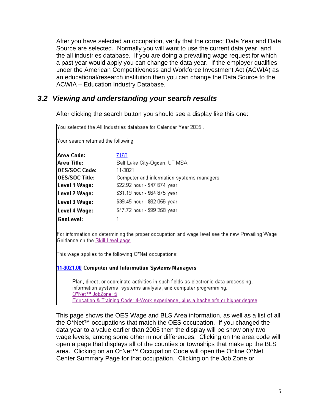<span id="page-5-0"></span>After you have selected an occupation, verify that the correct Data Year and Data Source are selected. Normally you will want to use the current data year, and the all industries database. If you are doing a prevailing wage request for which a past year would apply you can change the data year. If the employer qualifies under the American Competitiveness and Workforce Investment Act (ACWIA) as an educational/research institution then you can change the Data Source to the ACWIA – Education Industry Database.

### *3.2 Viewing and understanding your search results*

After clicking the search button you should see a display like this one:

| IYou selected the All Industries database for Calendar Year 2005. |                                           |  |  |  |  |  |  |
|-------------------------------------------------------------------|-------------------------------------------|--|--|--|--|--|--|
| Your search returned the following:                               |                                           |  |  |  |  |  |  |
| Area Code:                                                        | 7160                                      |  |  |  |  |  |  |
| Area Title:                                                       | Salt Lake City-Ogden, UT MSA              |  |  |  |  |  |  |
| <b>OES/SOC Code:</b>                                              | 11-3021                                   |  |  |  |  |  |  |
| <b>OES/SOC Title:</b>                                             | Computer and information systems managers |  |  |  |  |  |  |
| Level 1 Wage:                                                     | \$22.92 hour - \$47,674 year              |  |  |  |  |  |  |
| \$31.19 hour - \$64,875 year<br>Level 2 Wage:                     |                                           |  |  |  |  |  |  |
| \$39.45 hour - \$82,056 year<br>Level 3 Wage:                     |                                           |  |  |  |  |  |  |
| \$47.72 hour - \$99,258 year<br>Level 4 Wage:                     |                                           |  |  |  |  |  |  |
| GeoLevel:                                                         |                                           |  |  |  |  |  |  |

For information on determining the proper occupation and wage level see the new Prevailing Wage Guidance on the Skill Level page.

This wage applies to the following O\*Net occupations:

11-3021.00 Computer and Information Systems Managers

Plan, direct, or coordinate activities in such fields as electronic data processing, information systems, systems analysis, and computer programming. O\*Net™ JobZone: 5 Education & Training Code: 4-Work experience, plus a bachelor's or higher degree

This page shows the OES Wage and BLS Area information, as well as a list of all the O\*Net™ occupations that match the OES occupation. If you changed the data year to a value earlier than 2005 then the display will be show only two wage levels, among some other minor differences. Clicking on the area code will open a page that displays all of the counties or townships that make up the BLS area. Clicking on an O\*Net™ Occupation Code will open the Online O\*Net Center Summary Page for that occupation. Clicking on the Job Zone or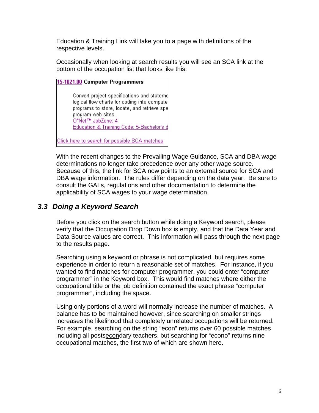<span id="page-6-0"></span>Education & Training Link will take you to a page with definitions of the respective levels.

Occasionally when looking at search results you will see an SCA link at the bottom of the occupation list that looks like this:

15-1021.00 Computer Programmers Convert project specifications and stateme logical flow charts for coding into compute programs to store, locate, and retrieve spe program web sites. O\*Net™ JobZone: 4 Education & Training Code: 5-Bachelor's d

Click here to search for possible SCA matches

With the recent changes to the Prevailing Wage Guidance, SCA and DBA wage determinations no longer take precedence over any other wage source. Because of this, the link for SCA now points to an external source for SCA and DBA wage information. The rules differ depending on the data year. Be sure to consult the GALs, regulations and other documentation to determine the applicability of SCA wages to your wage determination.

### *3.3 Doing a Keyword Search*

Before you click on the search button while doing a Keyword search, please verify that the Occupation Drop Down box is empty, and that the Data Year and Data Source values are correct. This information will pass through the next page to the results page.

Searching using a keyword or phrase is not complicated, but requires some experience in order to return a reasonable set of matches. For instance, if you wanted to find matches for computer programmer, you could enter "computer programmer" in the Keyword box. This would find matches where either the occupational title or the job definition contained the exact phrase "computer programmer", including the space.

Using only portions of a word will normally increase the number of matches. A balance has to be maintained however, since searching on smaller strings increases the likelihood that completely unrelated occupations will be returned. For example, searching on the string "econ" returns over 60 possible matches including all postsecondary teachers, but searching for "econo" returns nine occupational matches, the first two of which are shown here.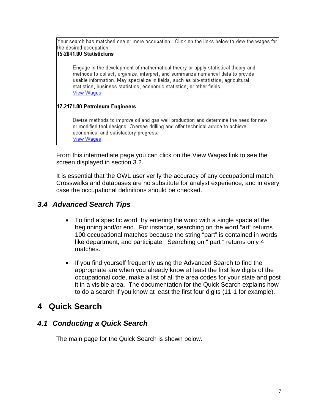<span id="page-7-0"></span>Your search has matched one or more occupation. Click on the links below to view the wages for the desired occupation.

#### 15-2041.00 Statisticians

Engage in the development of mathematical theory or apply statistical theory and methods to collect, organize, interpret, and summarize numerical data to provide usable information. May specialize in fields, such as bio-statistics, agricultural statistics, business statistics, economic statistics, or other fields. **View Wages** 

#### 17-2171.00 Petroleum Engineers

Devise methods to improve oil and gas well production and determine the need for new or modified tool designs. Oversee drilling and offer technical advice to achieve economical and satisfactory progress. **View Wages** 

From this intermediate page you can click on the View Wages link to see the screen displayed in section 3.2.

It is essential that the OWL user verify the accuracy of any occupational match. Crosswalks and databases are no substitute for analyst experience, and in every case the occupational definitions should be checked.

### *3.4 Advanced Search Tips*

- To find a specific word, try entering the word with a single space at the beginning and/or end. For instance, searching on the word "art" returns 100 occupational matches because the string "part" is contained in words like department, and participate. Searching on " part " returns only 4 matches.
- If you find yourself frequently using the Advanced Search to find the appropriate are when you already know at least the first few digits of the occupational code, make a list of all the area codes for your state and post it in a visible area. The documentation for the Quick Search explains how to do a search if you know at least the first four digits (11-1 for example).

## **4 Quick Search**

### *4.1 Conducting a Quick Search*

The main page for the Quick Search is shown below.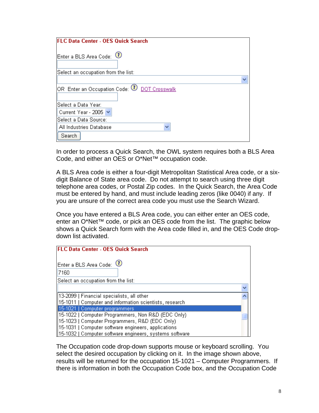| <b>FLC Data Center - OES Quick Search</b>                                            |  |
|--------------------------------------------------------------------------------------|--|
| Enter a BLS Area Code: 1                                                             |  |
| Select an occupation from the list:                                                  |  |
|                                                                                      |  |
| $ {\rm OR} $ Enter an Occupation Code: $\overline{\mathbb{O}} $ <u>DOT Crosswalk</u> |  |
| Select a Data Year:                                                                  |  |
| Current Year - 2005 V                                                                |  |
| Select a Data Source:                                                                |  |
| All Industries Database<br>$\checkmark$                                              |  |
| Search                                                                               |  |

In order to process a Quick Search, the OWL system requires both a BLS Area Code, and either an OES or O\*Net™ occupation code.

A BLS Area code is either a four-digit Metropolitan Statistical Area code, or a sixdigit Balance of State area code. Do not attempt to search using three digit telephone area codes, or Postal Zip codes. In the Quick Search, the Area Code must be entered by hand, and must include leading zeros (like 0040) if any. If you are unsure of the correct area code you must use the Search Wizard.

Once you have entered a BLS Area code, you can either enter an OES code, enter an O\*Net™ code, or pick an OES code from the list. The graphic below shows a Quick Search form with the Area code filled in, and the OES Code dropdown list activated.

| <b>FLC Data Center - OES Quick Search</b>                               |  |
|-------------------------------------------------------------------------|--|
| Enter a BLS Area Code: 1<br>7160<br>Select an occupation from the list: |  |
|                                                                         |  |
| [13-2099] Financial specialists, all other                              |  |
| 15-1011   Computer and information scientists, research                 |  |
| 15-1021   Computer programmers                                          |  |
| [15-1022   Computer Programmers, Non R&D (EDC Only).                    |  |
| [15-1023] Computer Programmers, R&D (EDC Only)                          |  |
| 15-1031   Computer software engineers, applications                     |  |
| [15-1032] Computer software engineers, systems software                 |  |

The Occupation code drop-down supports mouse or keyboard scrolling. You select the desired occupation by clicking on it. In the image shown above, results will be returned for the occupation 15-1021 – Computer Programmers. If there is information in both the Occupation Code box, and the Occupation Code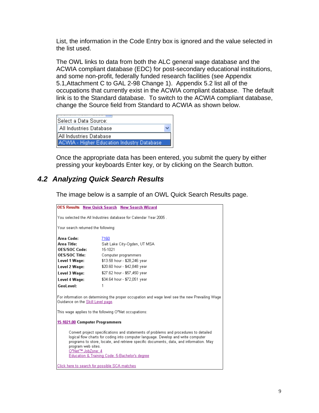<span id="page-9-0"></span>List, the information in the Code Entry box is ignored and the value selected in the list used.

The OWL links to data from both the ALC general wage database and the ACWIA compliant database (EDC) for post-secondary educational institutions, and some non-profit, federally funded research facilities (see Appendix 5.1,Attachment C to GAL 2-98 Change 1). Appendix 5.2 list all of the occupations that currently exist in the ACWIA compliant database. The default link is to the Standard database. To switch to the ACWIA compliant database, change the Source field from Standard to ACWIA as shown below.

| Select a Data Source:                       |  |
|---------------------------------------------|--|
| All Industries Database                     |  |
| All Industries Database                     |  |
| ACWIA - Higher Education Industry Database, |  |

Once the appropriate data has been entered, you submit the query by either pressing your keyboards Enter key, or by clicking on the Search button.

### *4.2 Analyzing Quick Search Results*

The image below is a sample of an OWL Quick Search Results page.

| <b>OES Results New Quick Search New Search Wizard</b>                                                                                                                                                                                                                                                                                                            |                                                       |  |  |  |  |  |
|------------------------------------------------------------------------------------------------------------------------------------------------------------------------------------------------------------------------------------------------------------------------------------------------------------------------------------------------------------------|-------------------------------------------------------|--|--|--|--|--|
| You selected the All Industries database for Calendar Year 2005.                                                                                                                                                                                                                                                                                                 |                                                       |  |  |  |  |  |
| Your search returned the following:                                                                                                                                                                                                                                                                                                                              |                                                       |  |  |  |  |  |
| Area Code:                                                                                                                                                                                                                                                                                                                                                       | 7160                                                  |  |  |  |  |  |
| Area Title:                                                                                                                                                                                                                                                                                                                                                      | Salt Lake City-Ogden, UT MSA                          |  |  |  |  |  |
| <b>OES/SOC Code:</b>                                                                                                                                                                                                                                                                                                                                             | 15-1021                                               |  |  |  |  |  |
| <b>OES/SOC Title:</b>                                                                                                                                                                                                                                                                                                                                            | Computer programmers                                  |  |  |  |  |  |
| Level 1 Wage:                                                                                                                                                                                                                                                                                                                                                    | \$13.58 hour - \$28,246 year                          |  |  |  |  |  |
| Level 2 Wage:                                                                                                                                                                                                                                                                                                                                                    | \$20.60 hour - \$42,848 year                          |  |  |  |  |  |
| Level 3 Wage:                                                                                                                                                                                                                                                                                                                                                    | \$27.62 hour - \$57,450 year                          |  |  |  |  |  |
| Level 4 Wage:                                                                                                                                                                                                                                                                                                                                                    | \$34.64 hour - \$72,051 year                          |  |  |  |  |  |
| GeoLevel:                                                                                                                                                                                                                                                                                                                                                        | 1                                                     |  |  |  |  |  |
| For information on determining the proper occupation and wage level see the new Prevailing Wage<br>Guidance on the Skill Level page.                                                                                                                                                                                                                             |                                                       |  |  |  |  |  |
|                                                                                                                                                                                                                                                                                                                                                                  | This wage applies to the following O*Net occupations: |  |  |  |  |  |
| 15-1021.00 Computer Programmers                                                                                                                                                                                                                                                                                                                                  |                                                       |  |  |  |  |  |
| Convert project specifications and statements of problems and procedures to detailed<br>logical flow charts for coding into computer language. Develop and write computer<br>programs to store, locate, and retrieve specific documents, data, and information. May<br>program web sites.<br>O*Net™ JobZone: 4<br>Education & Training Code: 5-Bachelor's degree |                                                       |  |  |  |  |  |
| Click here to search for possible SCA matches                                                                                                                                                                                                                                                                                                                    |                                                       |  |  |  |  |  |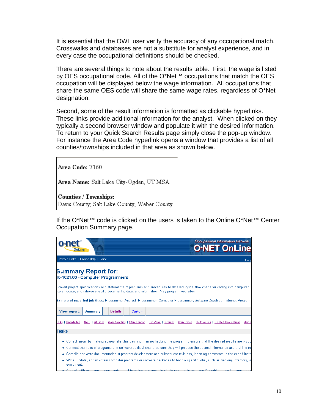It is essential that the OWL user verify the accuracy of any occupational match. Crosswalks and databases are not a substitute for analyst experience, and in every case the occupational definitions should be checked.

There are several things to note about the results table. First, the wage is listed by OES occupational code. All of the O\*Net™ occupations that match the OES occupation will be displayed below the wage information. All occupations that share the same OES code will share the same wage rates, regardless of O\*Net designation.

Second, some of the result information is formatted as clickable hyperlinks. These links provide additional information for the analyst. When clicked on they typically a second browser window and populate it with the desired information. To return to your Quick Search Results page simply close the pop-up window. For instance the Area Code hyperlink opens a window that provides a list of all counties/townships included in that area as shown below.

Area Code: 7160

Area Name: Salt Lake City-Ogden, UT MSA

Counties / Townships: Davis County; Salt Lake County; Weber County

If the O\*Net™ code is clicked on the users is taken to the Online O\*Net™ Center Occupation Summary page.

| OnLine                                                                                                                                                                                                                                |                                                                                                                                                                                                                               |                |               |  |  | <b>Occupational Information Network</b><br>O*NET OnLine |
|---------------------------------------------------------------------------------------------------------------------------------------------------------------------------------------------------------------------------------------|-------------------------------------------------------------------------------------------------------------------------------------------------------------------------------------------------------------------------------|----------------|---------------|--|--|---------------------------------------------------------|
|                                                                                                                                                                                                                                       | Related Links   OnLine Help   Home                                                                                                                                                                                            |                |               |  |  | Occu                                                    |
| <b>Summary Report for:</b><br>15-1021.00 - Computer Programmers                                                                                                                                                                       |                                                                                                                                                                                                                               |                |               |  |  |                                                         |
| Convert project specifications and statements of problems and procedures to detailed logical flow charts for coding into computer la<br>store, locate, and retrieve specific documents, data, and information. May program web sites. |                                                                                                                                                                                                                               |                |               |  |  |                                                         |
| Sample of reported job titles: Programmer Analyst, Programmer, Computer Programmer, Software Developer, Internet Programm                                                                                                             |                                                                                                                                                                                                                               |                |               |  |  |                                                         |
| <b>View report:</b>                                                                                                                                                                                                                   | <b>Summary</b>                                                                                                                                                                                                                | <b>Details</b> | <b>Custom</b> |  |  |                                                         |
| [asks   Knowledge   Skills   Abilities   Work Activities   Work Context   Job Zone   Interests   Work Styles   Work Values   Related Occupations   Wage:                                                                              |                                                                                                                                                                                                                               |                |               |  |  |                                                         |
| Tasks                                                                                                                                                                                                                                 |                                                                                                                                                                                                                               |                |               |  |  |                                                         |
|                                                                                                                                                                                                                                       | • Correct errors by making appropriate changes and then rechecking the program to ensure that the desired results are produ                                                                                                   |                |               |  |  |                                                         |
|                                                                                                                                                                                                                                       | • Conduct trial runs of programs and software applications to be sure they will produce the desired information and that the in-                                                                                              |                |               |  |  |                                                         |
|                                                                                                                                                                                                                                       | • Compile and write documentation of program development and subsequent revisions, inserting comments in the coded instri                                                                                                     |                |               |  |  |                                                         |
| equipment.                                                                                                                                                                                                                            | • Write, update, and maintain computer programs or software packages to handle specific jobs, such as tracking inventory, st                                                                                                  |                |               |  |  |                                                         |
|                                                                                                                                                                                                                                       | According to the control of the set of control of the control of the class control the control of the control of the control of the control of the control of the control of the control of the control of the control of the |                |               |  |  |                                                         |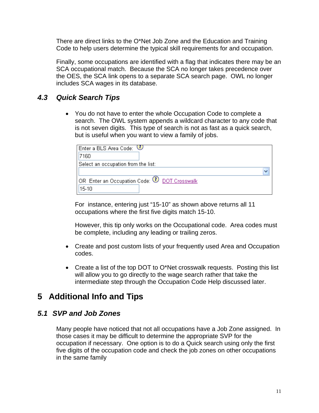<span id="page-11-0"></span>There are direct links to the O\*Net Job Zone and the Education and Training Code to help users determine the typical skill requirements for and occupation.

Finally, some occupations are identified with a flag that indicates there may be an SCA occupational match. Because the SCA no longer takes precedence over the OES, the SCA link opens to a separate SCA search page. OWL no longer includes SCA wages in its database.

### *4.3 Quick Search Tips*

• You do not have to enter the whole Occupation Code to complete a search. The OWL system appends a wildcard character to any code that is not seven digits. This type of search is not as fast as a quick search, but is useful when you want to view a family of jobs.

| Enter a BLS Area Code: $\bigcirc$                            |  |
|--------------------------------------------------------------|--|
| 7160                                                         |  |
| Select an occupation from the list:                          |  |
|                                                              |  |
| OR Enter an Occupation Code: $\textcircled{1}$ DOT Crosswalk |  |
| $15-10$                                                      |  |

For instance, entering just "15-10" as shown above returns all 11 occupations where the first five digits match 15-10.

However, this tip only works on the Occupational code. Area codes must be complete, including any leading or trailing zeros.

- Create and post custom lists of your frequently used Area and Occupation codes.
- Create a list of the top DOT to O\*Net crosswalk requests. Posting this list will allow you to go directly to the wage search rather that take the intermediate step through the Occupation Code Help discussed later.

## **5 Additional Info and Tips**

### *5.1 SVP and Job Zones*

Many people have noticed that not all occupations have a Job Zone assigned. In those cases it may be difficult to determine the appropriate SVP for the occupation if necessary. One option is to do a Quick search using only the first five digits of the occupation code and check the job zones on other occupations in the same family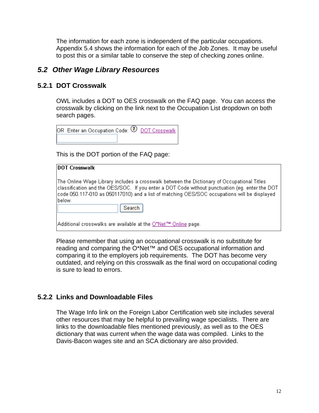<span id="page-12-0"></span>The information for each zone is independent of the particular occupations. Appendix 5.4 shows the information for each of the Job Zones. It may be useful to post this or a similar table to conserve the step of checking zones online.

### *5.2 Other Wage Library Resources*

### **5.2.1 DOT Crosswalk**

OWL includes a DOT to OES crosswalk on the FAQ page. You can access the crosswalk by clicking on the link next to the Occupation List dropdown on both search pages.

| OR Enter an Occupation Code: $\overline{\mathbf{0}}$ DOT Crosswalk. |  |
|---------------------------------------------------------------------|--|
|                                                                     |  |

This is the DOT portion of the FAQ page:

| <b>DOT Crosswalk</b>                                                                                                                                                                                                                                                                                            |
|-----------------------------------------------------------------------------------------------------------------------------------------------------------------------------------------------------------------------------------------------------------------------------------------------------------------|
| The Online Wage Library includes a crosswalk between the Dictionary of Occupational Titles<br>classification and the OES/SOC. If you enter a DOT Code without punctuation (eg. enter the DOT<br>code 050.117-010 as 050117010) and a list of matching OES/SOC occupations will be displayed<br>below.<br>Search |
| Additional crosswalks are available at the O*Net™ Online page.                                                                                                                                                                                                                                                  |

Please remember that using an occupational crosswalk is no substitute for reading and comparing the O\*Net™ and OES occupational information and comparing it to the employers job requirements. The DOT has become very outdated, and relying on this crosswalk as the final word on occupational coding is sure to lead to errors.

#### **5.2.2 Links and Downloadable Files**

The Wage Info link on the Foreign Labor Certification web site includes several other resources that may be helpful to prevailing wage specialists. There are links to the downloadable files mentioned previously, as well as to the OES dictionary that was current when the wage data was compiled. Links to the Davis-Bacon wages site and an SCA dictionary are also provided.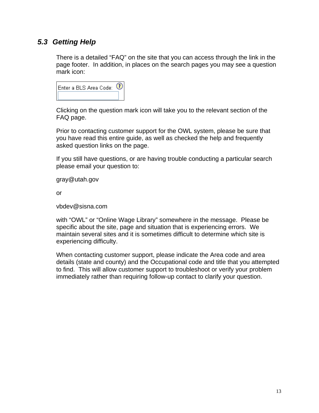### <span id="page-13-0"></span>*5.3 Getting Help*

There is a detailed "FAQ" on the site that you can access through the link in the page footer. In addition, in places on the search pages you may see a question mark icon:

| Enter a BLS Area Code: |  |
|------------------------|--|
|                        |  |

Clicking on the question mark icon will take you to the relevant section of the FAQ page.

Prior to contacting customer support for the OWL system, please be sure that you have read this entire guide, as well as checked the help and frequently asked question links on the page.

If you still have questions, or are having trouble conducting a particular search please email your question to:

gray@utah.gov

or

vbdev@sisna.com

with "OWL" or "Online Wage Library" somewhere in the message. Please be specific about the site, page and situation that is experiencing errors. We maintain several sites and it is sometimes difficult to determine which site is experiencing difficulty.

When contacting customer support, please indicate the Area code and area details (state and county) and the Occupational code and title that you attempted to find. This will allow customer support to troubleshoot or verify your problem immediately rather than requiring follow-up contact to clarify your question.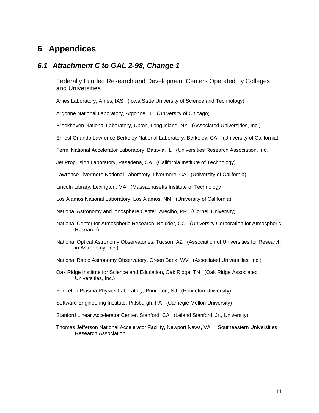### <span id="page-14-0"></span>**6 Appendices**

#### *6.1 Attachment C to GAL 2-98, Change 1*

Federally Funded Research and Development Centers Operated by Colleges and Universities

Ames Laboratory, Ames, IAS (Iowa State University of Science and Technology)

Argonne National Laboratory, Argonne, IL (University of Chicago)

Brookhaven National Laboratory, Upton, Long Island, NY (Associated Universities, Inc.)

Ernest Orlando Lawrence Berkeley National Laboratory, Berkeley, CA (University of California)

Fermi National Accelerator Laboratory, Batavia, IL (Universities Research Association, Inc.

Jet Propulsion Laboratory, Pasadena, CA (California Institute of Technology)

Lawrence Livermore National Laboratory, Livermore, CA (University of California)

Lincoln Library, Lexington, MA (Massachusetts Institute of Technology

Los Alamos National Laboratory, Los Alamos, NM (University of California)

National Astronomy and Ionosphere Center, Arecibo, PR (Cornell University)

- National Center for Atmospheric Research, Boulder, CO (University Corporation for Atmospheric Research)
- National Optical Astronomy Observatories, Tucson, AZ (Association of Universities for Research in Astronomy, Inc.)
- National Radio Astronomy Observatory, Green Bank, WV (Associated Universities, Inc.)
- Oak Ridge Institute for Science and Education, Oak Ridge, TN (Oak Ridge Associated Universities, Inc.)
- Princeton Plasma Physics Laboratory, Princeton, NJ (Princeton University)
- Software Engineering Institute, Pittsburgh, PA (Carnegie Mellon University)
- Stanford Linear Accelerator Center, Stanford, CA (Leland Stanford, Jr., University)
- Thomas Jefferson National Accelerator Facility, Newport News, VA Southeastern Universities Research Association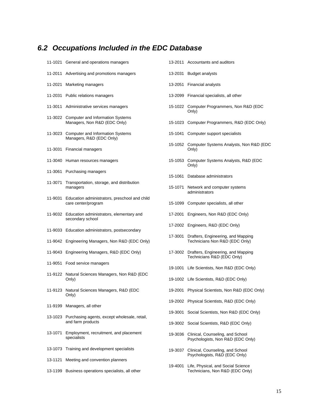# <span id="page-15-0"></span>*6.2 Occupations Included in the EDC Database*

|         | 11-1021 General and operations managers                                  |         | 13-2011 Accountants and auditors                                              |
|---------|--------------------------------------------------------------------------|---------|-------------------------------------------------------------------------------|
|         | 11-2011 Advertising and promotions managers                              | 13-2031 | <b>Budget analysts</b>                                                        |
|         | 11-2021 Marketing managers                                               |         | 13-2051 Financial analysts                                                    |
|         | 11-2031 Public relations managers                                        |         | 13-2099 Financial specialists, all other                                      |
|         | 11-3011 Administrative services managers                                 |         | 15-1022 Computer Programmers, Non R&D (EDC<br>Only)                           |
|         | 11-3022 Computer and Information Systems<br>Managers, Non R&D (EDC Only) |         | 15-1023 Computer Programmers, R&D (EDC Only)                                  |
|         | 11-3023 Computer and Information Systems<br>Managers, R&D (EDC Only)     |         | 15-1041 Computer support specialists                                          |
|         | 11-3031 Financial managers                                               |         | 15-1052 Computer Systems Analysts, Non R&D (EDC)<br>Only)                     |
|         | 11-3040 Human resources managers                                         |         | 15-1053 Computer Systems Analysts, R&D (EDC<br>Only)                          |
|         | 11-3061 Purchasing managers                                              |         | 15-1061 Database administrators                                               |
| 11-3071 | Transportation, storage, and distribution<br>managers                    |         | 15-1071 Network and computer systems<br>administrators                        |
| 11-9031 | Education administrators, preschool and child<br>care center/program     |         | 15-1099 Computer specialists, all other                                       |
|         | 11-9032 Education administrators, elementary and<br>secondary school     | 17-2001 | Engineers, Non R&D (EDC Only)                                                 |
|         | 11-9033 Education administrators, postsecondary                          |         | 17-2002 Engineers, R&D (EDC Only)                                             |
|         | 11-9042 Engineering Managers, Non R&D (EDC Only)                         |         | 17-3001 Drafters, Engineering, and Mapping<br>Technicians Non R&D (EDC Only)  |
|         | 11-9043 Engineering Managers, R&D (EDC Only)                             |         | 17-3002 Drafters, Engineering, and Mapping<br>Technicians R&D (EDC Only)      |
|         | 11-9051 Food service managers                                            |         | 19-1001 Life Scientists, Non R&D (EDC Only)                                   |
|         | 11-9122 Natural Sciences Managers, Non R&D (EDC<br>Only)                 |         | 19-1002 Life Scientists, R&D (EDC Only)                                       |
|         | 11-9123 Natural Sciences Managers, R&D (EDC<br>Only)                     |         | 19-2001 Physical Scientists, Non R&D (EDC Only)                               |
| 11-9199 | Managers, all other                                                      |         | 19-2002 Physical Scientists, R&D (EDC Only)                                   |
| 13-1023 | Purchasing agents, except wholesale, retail,<br>and farm products        | 19-3001 | Social Scientists, Non R&D (EDC Only)                                         |
|         |                                                                          |         | 19-3002 Social Scientists, R&D (EDC Only)                                     |
| 13-1071 | Employment, recruitment, and placement<br>specialists                    |         | 19-3036 Clinical, Counseling, and School<br>Psychologists, Non R&D (EDC Only) |
|         | 13-1073 Training and development specialists                             | 19-3037 | Clinical, Counseling, and School                                              |
| 13-1121 | Meeting and convention planners                                          |         | Psychologists, R&D (EDC Only)                                                 |
|         | 13-1199 Business operations specialists, all other                       | 19-4001 | Life, Physical, and Social Science<br>Technicians, Non R&D (EDC Only)         |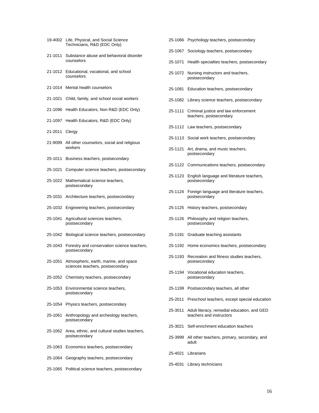| 19-4002 | Life, Physical, and Social Science<br>Technicians, R&D (EDC Only)         |
|---------|---------------------------------------------------------------------------|
| 21-1011 | Substance abuse and behavioral disorder<br>counselors                     |
| 21-1012 | Educational, vocational, and school<br>counselors                         |
| 21-1014 | Mental health counselors                                                  |
| 21-1021 | Child, family, and school social workers                                  |
| 21-1096 | Health Educators, Non R&D (EDC Only)                                      |
| 21-1097 | Health Educators, R&D (EDC Only)                                          |
| 21-2011 | Clergy                                                                    |
| 21-9099 | All other counselors, social and religious<br>workers                     |
| 25-1011 | Business teachers, postsecondary                                          |
| 25-1021 | Computer science teachers, postsecondary                                  |
| 25-1022 | Mathematical science teachers,<br>postsecondary                           |
| 25-1031 | Architecture teachers, postsecondary                                      |
| 25-1032 | Engineering teachers, postsecondary                                       |
| 25-1041 | Agricultural sciences teachers,<br>postsecondary                          |
| 25-1042 | Biological science teachers, postsecondary                                |
| 25-1043 | Forestry and conservation science teachers,<br>postsecondary              |
| 25-1051 | Atmospheric, earth, marine, and space<br>sciences teachers, postsecondary |
|         | 25-1052 Chemistry teachers, postsecondary                                 |
| 25-1053 | Environmental science teachers.<br>postsecondary                          |
| 25-1054 | Physics teachers, postsecondary                                           |
| 25-1061 | Anthropology and archeology teachers,<br>postsecondary                    |
| 25-1062 | Area, ethnic, and cultural studies teachers,<br>postsecondary             |
| 25-1063 | Economics teachers, postsecondary                                         |
| 25-1064 | Geography teachers, postsecondary                                         |
| 25-1065 | Political science teachers, postsecondary                                 |

|         | 25-1067 Sociology teachers, postsecondary                               |
|---------|-------------------------------------------------------------------------|
| 25-1071 | Health specialties teachers, postsecondary                              |
| 25-1072 | Nursing instructors and teachers,<br>postsecondary                      |
| 25-1081 | Education teachers, postsecondary                                       |
| 25-1082 | Library science teachers, postsecondary                                 |
| 25-1111 | Criminal justice and law enforcement<br>teachers, postsecondary         |
|         | 25-1112 Law teachers, postsecondary                                     |
| 25-1113 | Social work teachers, postsecondary                                     |
| 25-1121 | Art, drama, and music teachers,<br>postsecondary                        |
|         | 25-1122 Communications teachers, postsecondary                          |
| 25-1123 | English language and literature teachers,<br>postsecondary              |
| 25-1124 | Foreign language and literature teachers,<br>postsecondary              |
| 25-1125 | History teachers, postsecondary                                         |
| 25-1126 | Philosophy and religion teachers,<br>postsecondary                      |
| 25-1191 | Graduate teaching assistants                                            |
| 25-1192 | Home economics teachers, postsecondary                                  |
| 25-1193 | Recreation and fitness studies teachers.<br>postsecondary               |
| 25-1194 | Vocational education teachers.<br>postsecondary                         |
| 25-1199 | Postsecondary teachers, all other                                       |
| 25-2011 | Preschool teachers, except special education                            |
| 25-3011 | Adult literacy, remedial education, and GED<br>teachers and instructors |
| 25-3021 | Self-enrichment education teachers                                      |
| 25-3999 | All other teachers, primary, secondary, and<br>adult                    |
|         | 25-4021 Librarians                                                      |
|         | 25-4031 Library technicians                                             |

25-1066 Psychology teachers, postsecondary

16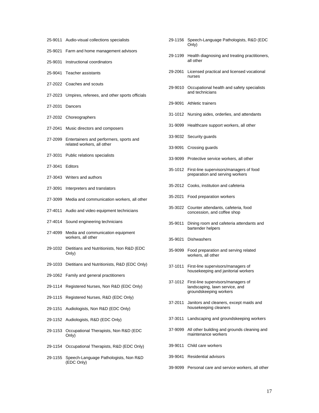|  | 25-9011 Audio-visual collections specialists |  |
|--|----------------------------------------------|--|
|--|----------------------------------------------|--|

- 25-9021 Farm and home management advisors
- 25-9031 Instructional coordinators
- 25-9041 Teacher assistants
- 27-2022 Coaches and scouts
- 27-2023 Umpires, referees, and other sports officials
- 27-2031 Dancers
- 27-2032 Choreographers
- 27-2041 Music directors and composers
- 27-2099 Entertainers and performers, sports and related workers, all other
- 27-3031 Public relations specialists
- 27-3041 Editors
- 27-3043 Writers and authors
- 27-3091 Interpreters and translators
- 27-3099 Media and communication workers, all other
- 27-4011 Audio and video equipment technicians
- 27-4014 Sound engineering technicians
- 27-4099 Media and communication equipment workers, all other
- 29-1032 Dietitians and Nutritionists, Non R&D (EDC Only)
- 29-1033 Dietitians and Nutritionists, R&D (EDC Only)
- 29-1062 Family and general practitioners
- 29-1114 Registered Nurses, Non R&D (EDC Only)
- 29-1115 Registered Nurses, R&D (EDC Only)
- 29-1151 Audiologists, Non R&D (EDC Only)
- 29-1152 Audiologists, R&D (EDC Only)
- 29-1153 Occupational Therapists, Non R&D (EDC Only)
- 29-1154 Occupational Therapists, R&D (EDC Only)
- 29-1155 Speech-Language Pathologists, Non R&D (EDC Only)

| 29-1156 | Speech-Language Pathologists, R&D (EDC<br>Only)                                                |
|---------|------------------------------------------------------------------------------------------------|
| 29-1199 | Health diagnosing and treating practitioners,<br>all other                                     |
| 29-2061 | Licensed practical and licensed vocational<br>nurses                                           |
| 29-9010 | Occupational health and safety specialists<br>and technicians                                  |
| 29-9091 | Athletic trainers                                                                              |
| 31-1012 | Nursing aides, orderlies, and attendants                                                       |
| 31-9099 | Healthcare support workers, all other                                                          |
| 33-9032 | Security guards                                                                                |
| 33-9091 | Crossing guards                                                                                |
| 33-9099 | Protective service workers, all other                                                          |
| 35-1012 | First-line supervisors/managers of food<br>preparation and serving workers                     |
| 35-2012 | Cooks, institution and cafeteria                                                               |
| 35-2021 | Food preparation workers                                                                       |
| 35-3022 | Counter attendants, cafeteria, food<br>concession, and coffee shop                             |
| 35-9011 | Dining room and cafeteria attendants and<br>bartender helpers                                  |
| 35-9021 | <b>Dishwashers</b>                                                                             |
| 35-9099 | Food preparation and serving related<br>workers, all other                                     |
| 37-1011 | First-line supervisors/managers of<br>housekeeping and janitorial workers                      |
| 37-1012 | First-line supervisors/managers of<br>landscaping, lawn service, and<br>groundskeeping workers |
| 37-2011 | Janitors and cleaners, except maids and<br>housekeeping cleaners                               |
| 37-3011 | Landscaping and groundskeeping workers                                                         |
| 37-9099 | All other building and grounds cleaning and<br>maintenance workers                             |
|         | 39-9011 Child care workers                                                                     |
|         | 39-9041 Residential advisors                                                                   |

39-9099 Personal care and service workers, all other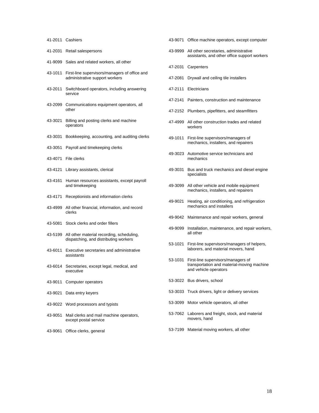#### 41-2011 Cashiers

- 41-2031 Retail salespersons
- 41-9099 Sales and related workers, all other
- 43-1011 First-line supervisors/managers of office and administrative support workers
- 43-2011 Switchboard operators, including answering service
- 43-2099 Communications equipment operators, all other
- 43-3021 Billing and posting clerks and machine operators
- 43-3031 Bookkeeping, accounting, and auditing clerks
- 43-3051 Payroll and timekeeping clerks
- 43-4071 File clerks
- 43-4121 Library assistants, clerical
- 43-4161 Human resources assistants, except payroll and timekeeping
- 43-4171 Receptionists and information clerks
- 43-4999 All other financial, information, and record clerks
- 43-5081 Stock clerks and order fillers
- 43-5199 All other material recording, scheduling, dispatching, and distributing workers
- 43-6011 Executive secretaries and administrative assistants
- 43-6014 Secretaries, except legal, medical, and executive
- 43-9011 Computer operators
- 43-9021 Data entry keyers
- 43-9022 Word processors and typists
- 43-9051 Mail clerks and mail machine operators, except postal service
- 43-9061 Office clerks, general
- 43-9071 Office machine operators, except computer
- 43-9999 All other secretaries, administrative assistants, and other office support workers
- 47-2031 Carpenters
- 47-2081 Drywall and ceiling tile installers
- 47-2111 Electricians
- 47-2141 Painters, construction and maintenance
- 47-2152 Plumbers, pipefitters, and steamfitters
- 47-4999 All other construction trades and related workers
- 49-1011 First-line supervisors/managers of mechanics, installers, and repairers
- 49-3023 Automotive service technicians and mechanics
- 49-3031 Bus and truck mechanics and diesel engine specialists
- 49-3099 All other vehicle and mobile equipment mechanics, installers, and repairers
- 49-9021 Heating, air conditioning, and refrigeration mechanics and installers
- 49-9042 Maintenance and repair workers, general
- 49-9099 Installation, maintenance, and repair workers, all other
- 53-1021 First-line supervisors/managers of helpers, laborers, and material movers, hand
- 53-1031 First-line supervisors/managers of transportation and material-moving machine and vehicle operators
- 53-3022 Bus drivers, school
- 53-3033 Truck drivers, light or delivery services
- 53-3099 Motor vehicle operators, all other
- 53-7062 Laborers and freight, stock, and material movers, hand
- 53-7199 Material moving workers, all other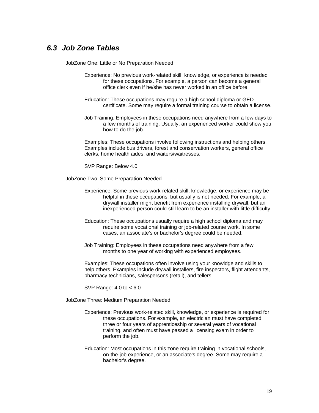### <span id="page-19-0"></span>*6.3 Job Zone Tables*

JobZone One: Little or No Preparation Needed

- Experience: No previous work-related skill, knowledge, or experience is needed for these occupations. For example, a person can become a general office clerk even if he/she has never worked in an office before.
- Education: These occupations may require a high school diploma or GED certificate. Some may require a formal training course to obtain a license.
- Job Training: Employees in these occupations need anywhere from a few days to a few months of training. Usually, an experienced worker could show you how to do the job.

Examples: These occupations involve following instructions and helping others. Examples include bus drivers, forest and conservation workers, general office clerks, home health aides, and waiters/waitresses.

SVP Range: Below 4.0

JobZone Two: Some Preparation Needed

- Experience: Some previous work-related skill, knowledge, or experience may be helpful in these occupations, but usually is not needed. For example, a drywall installer might benefit from experience installing drywall, but an inexperienced person could still learn to be an installer with little difficulty.
- Education: These occupations usually require a high school diploma and may require some vocational training or job-related course work. In some cases, an associate's or bachelor's degree could be needed.
- Job Training: Employees in these occupations need anywhere from a few months to one year of working with experienced employees.

Examples: These occupations often involve using your knowldge and skills to help others. Examples include drywall installers, fire inspectors, flight attendants, pharmacy technicians, salespersons (retail), and tellers.

SVP Range: 4.0 to < 6.0

JobZone Three: Medium Preparation Needed

- Experience: Previous work-related skill, knowledge, or experience is required for these occupations. For example, an electrician must have completed three or four years of apprenticeship or several years of vocational training, and often must have passed a licensing exam in order to perform the job.
- Education: Most occupations in this zone require training in vocational schools, on-the-job experience, or an associate's degree. Some may require a bachelor's degree.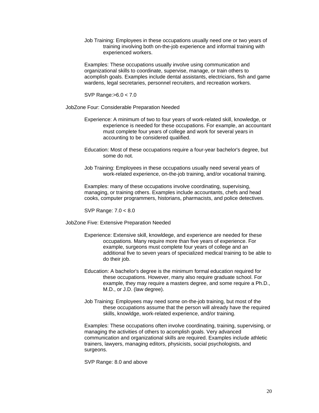Job Training: Employees in these occupations usually need one or two years of training involving both on-the-job experience and informal training with experienced workers.

Examples: These occupations usually involve using communication and organizational skills to coordinate, supervise, manage, or train others to acomplish goals. Examples include dental assistants, electricians, fish and game wardens, legal secretaries, personnel recruiters, and recreation workers.

SVP Range:>6.0 < 7.0

JobZone Four: Considerable Preparation Needed

- Experience: A minimum of two to four years of work-related skill, knowledge, or experience is needed for these occupations. For example, an accountant must complete four years of college and work for several years in accounting to be considered qualified.
- Education: Most of these occupations require a four-year bachelor's degree, but some do not.
- Job Training: Employees in these occupations usually need several years of work-related experience, on-the-job training, and/or vocational training.

Examples: many of these occupations involve coordinating, supervising, managing, or training others. Examples include accountants, chefs and head cooks, computer programmers, historians, pharmacists, and police detectives.

SVP Range: 7.0 < 8.0

JobZone Five: Extensive Preparation Needed

- Experience: Extensive skill, knowldege, and experience are needed for these occupations. Many require more than five years of experience. For example, surgeons must complete four years of college and an additional five to seven years of specialized medical training to be able to do their job.
- Education: A bachelor's degree is the minimum formal education required for these occupations. However, many also require graduate school. For example, they may require a masters degree, and some require a Ph.D., M.D., or J.D. (law degree).
- Job Training: Employees may need some on-the-job training, but most of the these occupations assume that the person will already have the required skills, knowldge, work-related experience, and/or training.

Examples: These occupations often involve coordinating, training, supervising, or managing the activities of others to acomplish goals. Very advanced communication and organizational skills are required. Examples include athletic trainers, lawyers, managing editors, physicists, social psychologists, and surgeons.

SVP Range: 8.0 and above